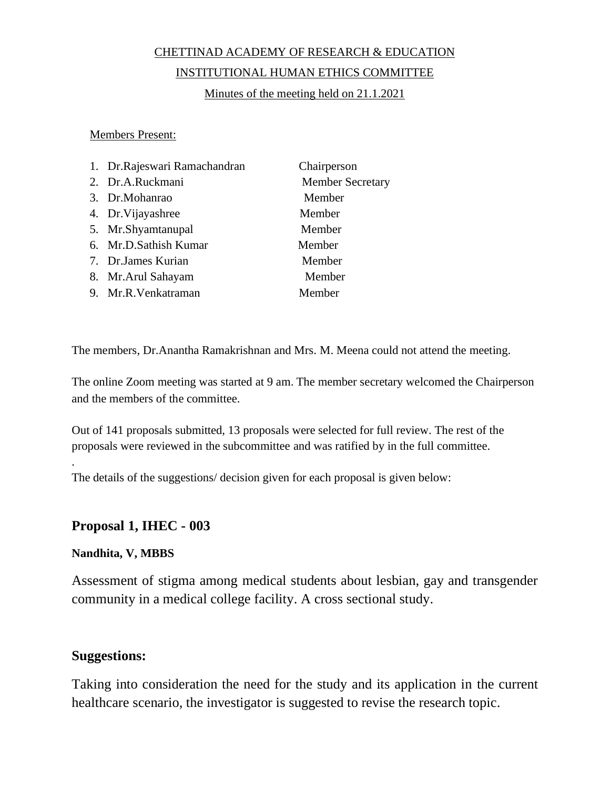#### CHETTINAD ACADEMY OF RESEARCH & EDUCATION

#### INSTITUTIONAL HUMAN ETHICS COMMITTEE

Minutes of the meeting held on 21.1.2021

Members Present:

| 1. Dr.Rajeswari Ramachandran | Chairperson             |
|------------------------------|-------------------------|
| 2. Dr.A.Ruckmani             | <b>Member Secretary</b> |
| 3. Dr.Mohanrao               | Member                  |
| 4. Dr. Vijayashree           | Member                  |
| 5. Mr.Shyamtanupal           | Member                  |
| 6. Mr.D.Sathish Kumar        | Member                  |
| 7. Dr.James Kurian           | Member                  |
| 8. Mr. Arul Sahayam          | Member                  |
| 9. Mr.R.Venkatraman          | Member                  |

The members, Dr.Anantha Ramakrishnan and Mrs. M. Meena could not attend the meeting.

The online Zoom meeting was started at 9 am. The member secretary welcomed the Chairperson and the members of the committee.

Out of 141 proposals submitted, 13 proposals were selected for full review. The rest of the proposals were reviewed in the subcommittee and was ratified by in the full committee.

The details of the suggestions/ decision given for each proposal is given below:

#### **Proposal 1, IHEC - 003**

#### **Nandhita, V, MBBS**

.

Assessment of stigma among medical students about lesbian, gay and transgender community in a medical college facility. A cross sectional study.

#### **Suggestions:**

Taking into consideration the need for the study and its application in the current healthcare scenario, the investigator is suggested to revise the research topic.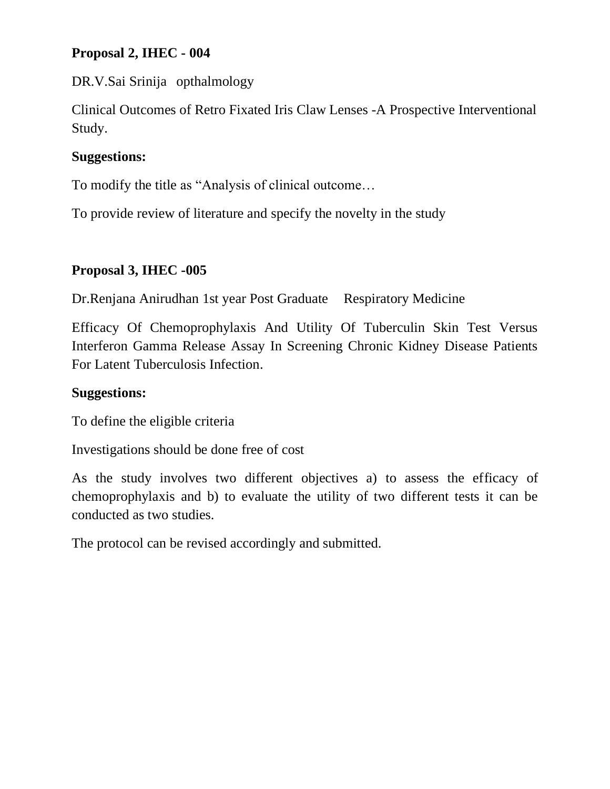# **Proposal 2, IHEC - 004**

DR.V.Sai Srinija opthalmology

Clinical Outcomes of Retro Fixated Iris Claw Lenses -A Prospective Interventional Study.

# **Suggestions:**

To modify the title as "Analysis of clinical outcome…

To provide review of literature and specify the novelty in the study

# **Proposal 3, IHEC -005**

Dr.Renjana Anirudhan 1st year Post Graduate Respiratory Medicine

Efficacy Of Chemoprophylaxis And Utility Of Tuberculin Skin Test Versus Interferon Gamma Release Assay In Screening Chronic Kidney Disease Patients For Latent Tuberculosis Infection.

# **Suggestions:**

To define the eligible criteria

Investigations should be done free of cost

As the study involves two different objectives a) to assess the efficacy of chemoprophylaxis and b) to evaluate the utility of two different tests it can be conducted as two studies.

The protocol can be revised accordingly and submitted.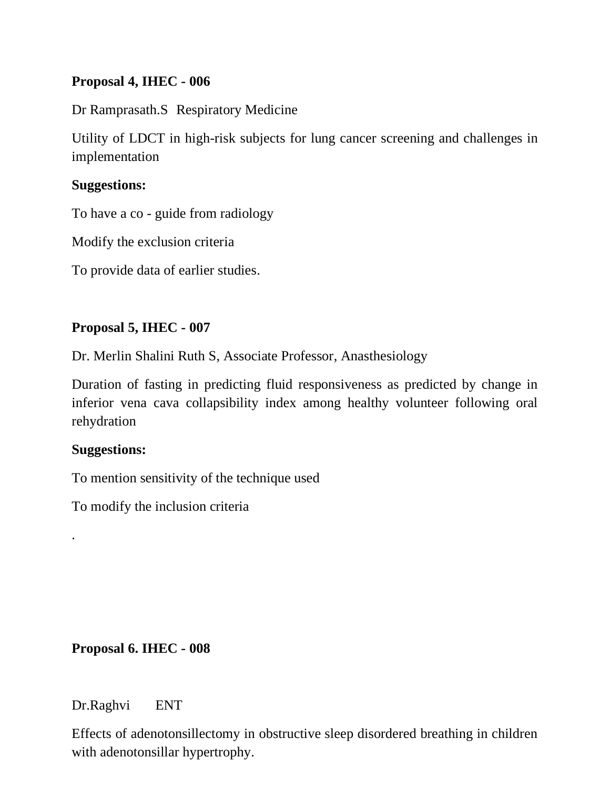# **Proposal 4, IHEC - 006**

Dr Ramprasath.S Respiratory Medicine

Utility of LDCT in high-risk subjects for lung cancer screening and challenges in implementation

### **Suggestions:**

To have a co - guide from radiology

Modify the exclusion criteria

To provide data of earlier studies.

# **Proposal 5, IHEC - 007**

Dr. Merlin Shalini Ruth S, Associate Professor, Anasthesiology

Duration of fasting in predicting fluid responsiveness as predicted by change in inferior vena cava collapsibility index among healthy volunteer following oral rehydration

### **Suggestions:**

.

To mention sensitivity of the technique used

To modify the inclusion criteria

**Proposal 6. IHEC - 008**

Dr.Raghvi ENT

Effects of adenotonsillectomy in obstructive sleep disordered breathing in children with adenotonsillar hypertrophy.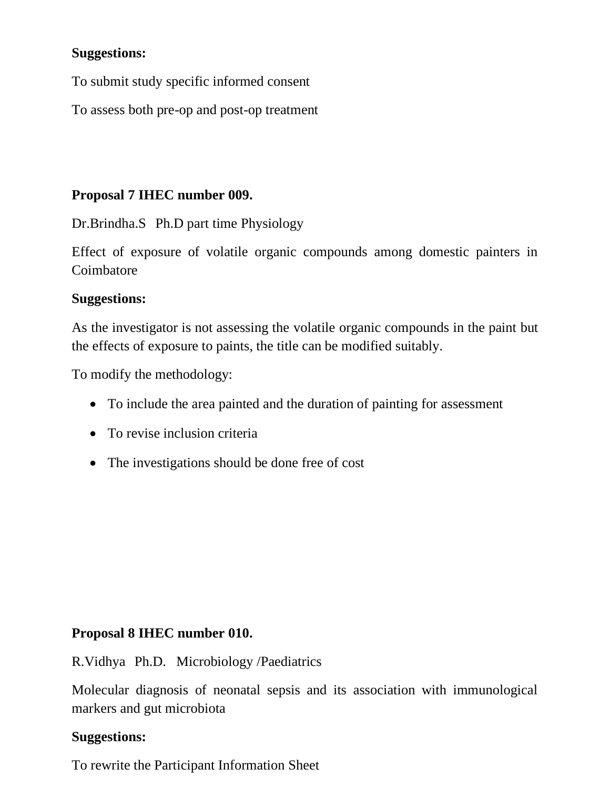## **Suggestions:**

To submit study specific informed consent

To assess both pre-op and post-op treatment

# **Proposal 7 IHEC number 009.**

Dr.Brindha.S Ph.D part time Physiology

Effect of exposure of volatile organic compounds among domestic painters in Coimbatore

### **Suggestions:**

As the investigator is not assessing the volatile organic compounds in the paint but the effects of exposure to paints, the title can be modified suitably.

To modify the methodology:

- To include the area painted and the duration of painting for assessment
- To revise inclusion criteria
- The investigations should be done free of cost

### **Proposal 8 IHEC number 010.**

R.Vidhya Ph.D. Microbiology /Paediatrics

Molecular diagnosis of neonatal sepsis and its association with immunological markers and gut microbiota

### **Suggestions:**

To rewrite the Participant Information Sheet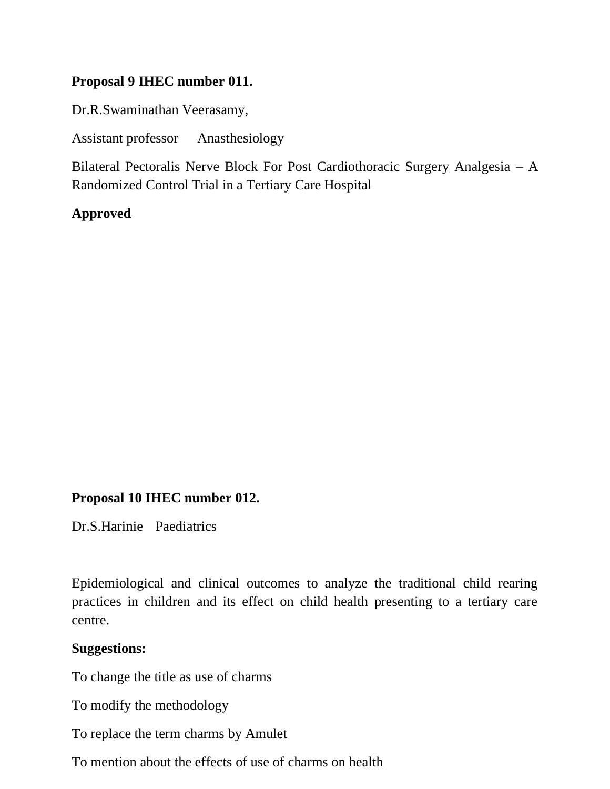## **Proposal 9 IHEC number 011.**

Dr.R.Swaminathan Veerasamy,

Assistant professor Anasthesiology

Bilateral Pectoralis Nerve Block For Post Cardiothoracic Surgery Analgesia – A Randomized Control Trial in a Tertiary Care Hospital

### **Approved**

### **Proposal 10 IHEC number 012.**

Dr.S.Harinie Paediatrics

Epidemiological and clinical outcomes to analyze the traditional child rearing practices in children and its effect on child health presenting to a tertiary care centre.

#### **Suggestions:**

To change the title as use of charms

To modify the methodology

To replace the term charms by Amulet

To mention about the effects of use of charms on health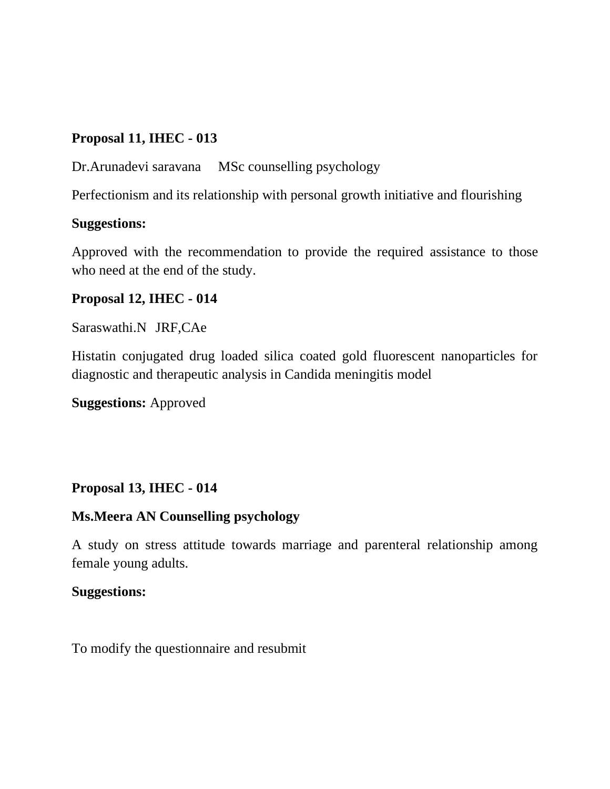# **Proposal 11, IHEC - 013**

Dr.Arunadevi saravana MSc counselling psychology

Perfectionism and its relationship with personal growth initiative and flourishing

## **Suggestions:**

Approved with the recommendation to provide the required assistance to those who need at the end of the study.

# **Proposal 12, IHEC - 014**

Saraswathi.N JRF,CAe

Histatin conjugated drug loaded silica coated gold fluorescent nanoparticles for diagnostic and therapeutic analysis in Candida meningitis model

**Suggestions:** Approved

# **Proposal 13, IHEC - 014**

# **Ms.Meera AN Counselling psychology**

A study on stress attitude towards marriage and parenteral relationship among female young adults.

### **Suggestions:**

To modify the questionnaire and resubmit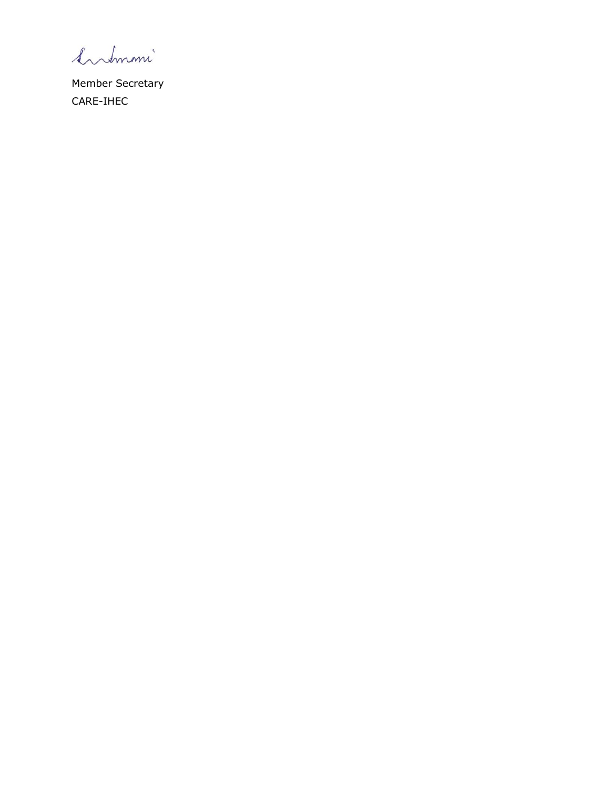Summi

Member Secretary CARE-IHEC